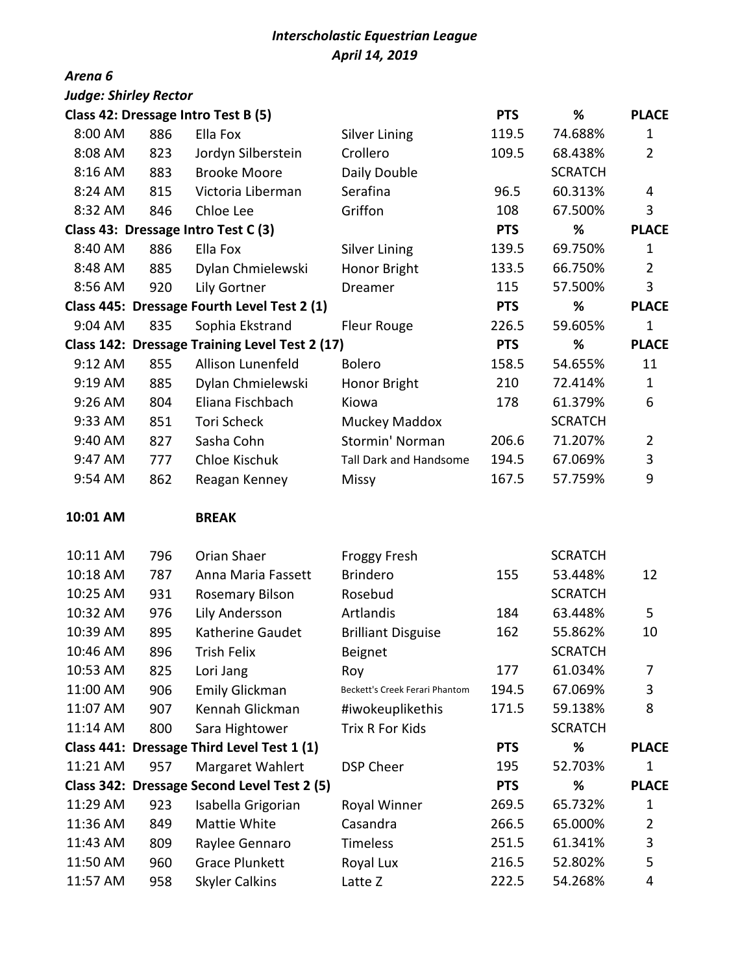## *Interscholastic Equestrian League April 14, 2019*

## *Arena 6*

| <b>Judge: Shirley Rector</b>        |     |                                                |                                |            |                |                |
|-------------------------------------|-----|------------------------------------------------|--------------------------------|------------|----------------|----------------|
|                                     |     | Class 42: Dressage Intro Test B (5)            |                                | <b>PTS</b> | %              | <b>PLACE</b>   |
| 8:00 AM                             | 886 | Ella Fox                                       | <b>Silver Lining</b>           | 119.5      | 74.688%        | 1              |
| 8:08 AM                             | 823 | Jordyn Silberstein                             | Crollero                       | 109.5      | 68.438%        | $\overline{2}$ |
| 8:16 AM                             | 883 | <b>Brooke Moore</b>                            | Daily Double                   |            | <b>SCRATCH</b> |                |
| 8:24 AM                             | 815 | Victoria Liberman                              | Serafina                       | 96.5       | 60.313%        | 4              |
| 8:32 AM                             | 846 | Chloe Lee                                      | Griffon                        | 108        | 67.500%        | 3              |
| Class 43: Dressage Intro Test C (3) |     |                                                |                                |            | %              | <b>PLACE</b>   |
| 8:40 AM                             | 886 | Ella Fox                                       | <b>Silver Lining</b>           | 139.5      | 69.750%        | 1              |
| 8:48 AM                             | 885 | Dylan Chmielewski                              | Honor Bright                   | 133.5      | 66.750%        | $\overline{2}$ |
| 8:56 AM                             | 920 | Lily Gortner                                   | Dreamer                        | 115        | 57.500%        | 3              |
|                                     |     | Class 445: Dressage Fourth Level Test 2 (1)    |                                | <b>PTS</b> | %              | <b>PLACE</b>   |
| 9:04 AM                             | 835 | Sophia Ekstrand                                | <b>Fleur Rouge</b>             | 226.5      | 59.605%        | 1              |
|                                     |     | Class 142: Dressage Training Level Test 2 (17) |                                | <b>PTS</b> | %              | <b>PLACE</b>   |
| 9:12 AM                             | 855 | Allison Lunenfeld                              | <b>Bolero</b>                  | 158.5      | 54.655%        | 11             |
| 9:19 AM                             | 885 | Dylan Chmielewski                              | Honor Bright                   | 210        | 72.414%        | 1              |
| 9:26 AM                             | 804 | Eliana Fischbach                               | Kiowa                          | 178        | 61.379%        | 6              |
| 9:33 AM                             | 851 | <b>Tori Scheck</b>                             | Muckey Maddox                  |            | <b>SCRATCH</b> |                |
| 9:40 AM                             | 827 | Sasha Cohn                                     | Stormin' Norman                | 206.6      | 71.207%        | $\overline{2}$ |
| 9:47 AM                             | 777 | Chloe Kischuk                                  | Tall Dark and Handsome         | 194.5      | 67.069%        | 3              |
| 9:54 AM                             | 862 | Reagan Kenney                                  | <b>Missy</b>                   | 167.5      | 57.759%        | 9              |
| 10:01 AM                            |     | <b>BREAK</b>                                   |                                |            |                |                |
| 10:11 AM                            | 796 | Orian Shaer                                    | <b>Froggy Fresh</b>            |            | <b>SCRATCH</b> |                |
| 10:18 AM                            | 787 | Anna Maria Fassett                             | <b>Brindero</b>                | 155        | 53.448%        | 12             |
| 10:25 AM                            | 931 | <b>Rosemary Bilson</b>                         | Rosebud                        |            | <b>SCRATCH</b> |                |
| 10:32 AM                            | 976 | Lily Andersson                                 | Artlandis                      | 184        | 63.448%        | 5              |
| 10:39 AM                            | 895 | Katherine Gaudet                               | <b>Brilliant Disguise</b>      | 162        | 55.862%        | 10             |
| 10:46 AM                            | 896 | Trish Felix                                    | <b>Beignet</b>                 |            | <b>SCRATCH</b> |                |
| 10:53 AM                            | 825 | Lori Jang                                      | Roy                            | 177        | 61.034%        | 7              |
| 11:00 AM                            | 906 | Emily Glickman                                 | Beckett's Creek Ferari Phantom | 194.5      | 67.069%        | 3              |
| 11:07 AM                            | 907 | Kennah Glickman                                | #iwokeuplikethis               | 171.5      | 59.138%        | 8              |
| 11:14 AM                            | 800 | Sara Hightower                                 | Trix R For Kids                |            | <b>SCRATCH</b> |                |
|                                     |     | Class 441: Dressage Third Level Test 1 (1)     |                                | <b>PTS</b> | %              | <b>PLACE</b>   |
| 11:21 AM                            | 957 | Margaret Wahlert                               | <b>DSP Cheer</b>               | 195        | 52.703%        | 1              |
|                                     |     | Class 342: Dressage Second Level Test 2 (5)    |                                | <b>PTS</b> | %              | <b>PLACE</b>   |
| 11:29 AM                            | 923 | Isabella Grigorian                             | Royal Winner                   | 269.5      | 65.732%        | 1              |
| 11:36 AM                            | 849 | Mattie White                                   | Casandra                       | 266.5      | 65.000%        | 2              |
| 11:43 AM                            | 809 | Raylee Gennaro                                 | Timeless                       | 251.5      | 61.341%        | 3              |
| 11:50 AM                            | 960 | <b>Grace Plunkett</b>                          | Royal Lux                      | 216.5      | 52.802%        | 5              |
| 11:57 AM                            | 958 | <b>Skyler Calkins</b>                          | Latte Z                        | 222.5      | 54.268%        | 4              |